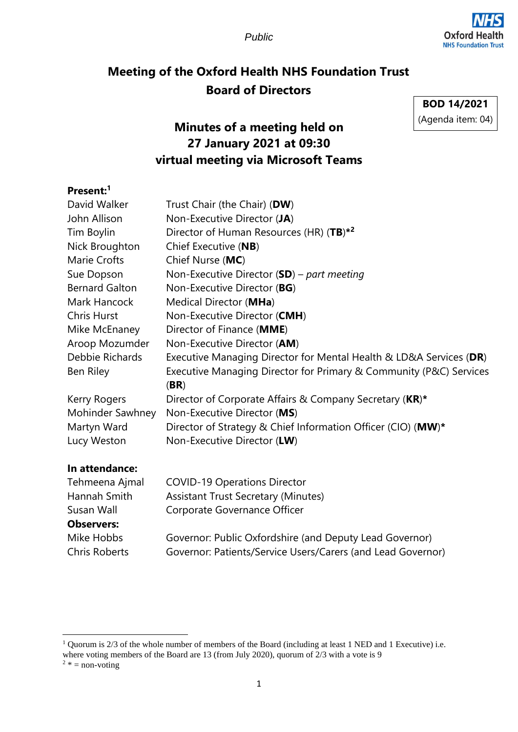*Public*



# **Meeting of the Oxford Health NHS Foundation Trust Board of Directors**

**BOD 14/2021** (Agenda item: 04)

# **Minutes of a meeting held on 27 January 2021 at 09:30 virtual meeting via Microsoft Teams**

### **Present:<sup>1</sup>**

| David Walker          | Trust Chair (the Chair) (DW)                                       |
|-----------------------|--------------------------------------------------------------------|
| John Allison          | Non-Executive Director (JA)                                        |
| Tim Boylin            | Director of Human Resources (HR) $(TB)^{*2}$                       |
| Nick Broughton        | Chief Executive (NB)                                               |
| Marie Crofts          | Chief Nurse (MC)                                                   |
| Sue Dopson            | Non-Executive Director $(SD)$ – part meeting                       |
| <b>Bernard Galton</b> | Non-Executive Director (BG)                                        |
| Mark Hancock          | Medical Director (MHa)                                             |
| <b>Chris Hurst</b>    | Non-Executive Director (CMH)                                       |
| Mike McEnaney         | Director of Finance (MME)                                          |
| Aroop Mozumder        | Non-Executive Director (AM)                                        |
| Debbie Richards       | Executive Managing Director for Mental Health & LD&A Services (DR) |
| Ben Riley             | Executive Managing Director for Primary & Community (P&C) Services |
|                       | (BR)                                                               |
| Kerry Rogers          | Director of Corporate Affairs & Company Secretary (KR)*            |
| Mohinder Sawhney      | Non-Executive Director (MS)                                        |
| Martyn Ward           | Director of Strategy & Chief Information Officer (CIO) (MW)*       |
| Lucy Weston           | Non-Executive Director (LW)                                        |
|                       |                                                                    |

#### **In attendance:**

| Tehmeena Ajmal       | <b>COVID-19 Operations Director</b>                         |
|----------------------|-------------------------------------------------------------|
| Hannah Smith         | <b>Assistant Trust Secretary (Minutes)</b>                  |
| Susan Wall           | Corporate Governance Officer                                |
| <b>Observers:</b>    |                                                             |
| Mike Hobbs           | Governor: Public Oxfordshire (and Deputy Lead Governor)     |
| <b>Chris Roberts</b> | Governor: Patients/Service Users/Carers (and Lead Governor) |

<sup>&</sup>lt;sup>1</sup> Quorum is 2/3 of the whole number of members of the Board (including at least 1 NED and 1 Executive) i.e. where voting members of the Board are 13 (from July 2020), quorum of 2/3 with a vote is 9  $2 * = \text{non-voting}$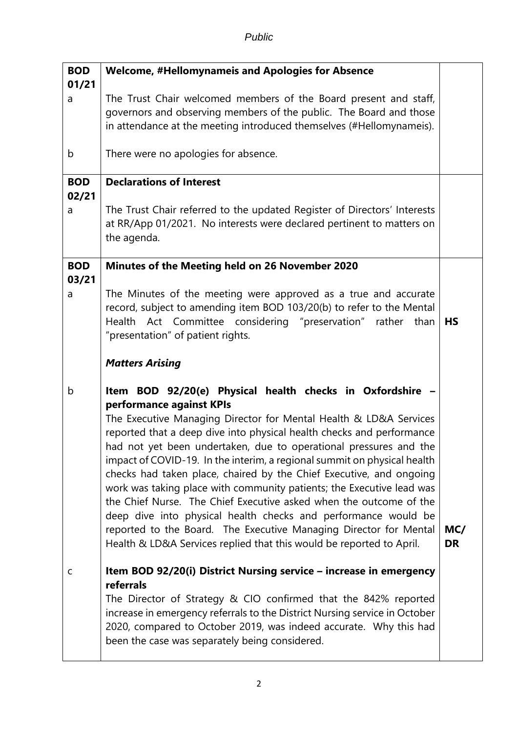| <b>BOD</b>          | <b>Welcome, #Hellomynameis and Apologies for Absence</b>                                                                                                                                                                                                                                                                                                                                                                                                                                                                                                                                                                                                                                                                                                                                                                  |                  |
|---------------------|---------------------------------------------------------------------------------------------------------------------------------------------------------------------------------------------------------------------------------------------------------------------------------------------------------------------------------------------------------------------------------------------------------------------------------------------------------------------------------------------------------------------------------------------------------------------------------------------------------------------------------------------------------------------------------------------------------------------------------------------------------------------------------------------------------------------------|------------------|
| 01/21<br>a          | The Trust Chair welcomed members of the Board present and staff,<br>governors and observing members of the public. The Board and those<br>in attendance at the meeting introduced themselves (#Hellomynameis).                                                                                                                                                                                                                                                                                                                                                                                                                                                                                                                                                                                                            |                  |
| b                   | There were no apologies for absence.                                                                                                                                                                                                                                                                                                                                                                                                                                                                                                                                                                                                                                                                                                                                                                                      |                  |
| <b>BOD</b><br>02/21 | <b>Declarations of Interest</b>                                                                                                                                                                                                                                                                                                                                                                                                                                                                                                                                                                                                                                                                                                                                                                                           |                  |
| a                   | The Trust Chair referred to the updated Register of Directors' Interests<br>at RR/App 01/2021. No interests were declared pertinent to matters on<br>the agenda.                                                                                                                                                                                                                                                                                                                                                                                                                                                                                                                                                                                                                                                          |                  |
| <b>BOD</b><br>03/21 | Minutes of the Meeting held on 26 November 2020                                                                                                                                                                                                                                                                                                                                                                                                                                                                                                                                                                                                                                                                                                                                                                           |                  |
| a                   | The Minutes of the meeting were approved as a true and accurate<br>record, subject to amending item BOD 103/20(b) to refer to the Mental<br>Health Act Committee considering "preservation" rather<br>than<br>"presentation" of patient rights.                                                                                                                                                                                                                                                                                                                                                                                                                                                                                                                                                                           | <b>HS</b>        |
|                     | <b>Matters Arising</b>                                                                                                                                                                                                                                                                                                                                                                                                                                                                                                                                                                                                                                                                                                                                                                                                    |                  |
| b                   | Item BOD 92/20(e) Physical health checks in Oxfordshire -<br>performance against KPIs<br>The Executive Managing Director for Mental Health & LD&A Services<br>reported that a deep dive into physical health checks and performance<br>had not yet been undertaken, due to operational pressures and the<br>impact of COVID-19. In the interim, a regional summit on physical health<br>checks had taken place, chaired by the Chief Executive, and ongoing<br>work was taking place with community patients; the Executive lead was<br>the Chief Nurse. The Chief Executive asked when the outcome of the<br>deep dive into physical health checks and performance would be<br>reported to the Board. The Executive Managing Director for Mental<br>Health & LD&A Services replied that this would be reported to April. | MC/<br><b>DR</b> |
| $\mathsf{C}$        | Item BOD 92/20(i) District Nursing service - increase in emergency<br>referrals<br>The Director of Strategy & CIO confirmed that the 842% reported<br>increase in emergency referrals to the District Nursing service in October<br>2020, compared to October 2019, was indeed accurate. Why this had<br>been the case was separately being considered.                                                                                                                                                                                                                                                                                                                                                                                                                                                                   |                  |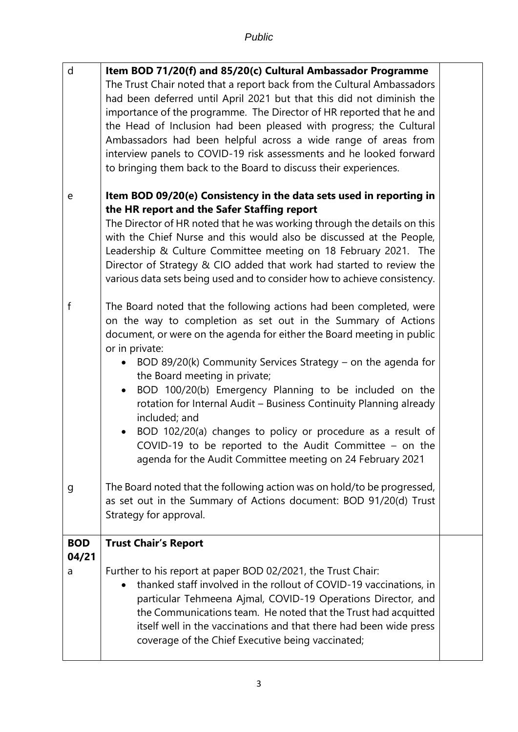| $\mathsf{d}$             | Item BOD 71/20(f) and 85/20(c) Cultural Ambassador Programme<br>The Trust Chair noted that a report back from the Cultural Ambassadors<br>had been deferred until April 2021 but that this did not diminish the<br>importance of the programme. The Director of HR reported that he and<br>the Head of Inclusion had been pleased with progress; the Cultural<br>Ambassadors had been helpful across a wide range of areas from<br>interview panels to COVID-19 risk assessments and he looked forward<br>to bringing them back to the Board to discuss their experiences.                                                                                                                  |  |
|--------------------------|---------------------------------------------------------------------------------------------------------------------------------------------------------------------------------------------------------------------------------------------------------------------------------------------------------------------------------------------------------------------------------------------------------------------------------------------------------------------------------------------------------------------------------------------------------------------------------------------------------------------------------------------------------------------------------------------|--|
| e                        | Item BOD 09/20(e) Consistency in the data sets used in reporting in<br>the HR report and the Safer Staffing report<br>The Director of HR noted that he was working through the details on this<br>with the Chief Nurse and this would also be discussed at the People,<br>Leadership & Culture Committee meeting on 18 February 2021. The<br>Director of Strategy & CIO added that work had started to review the<br>various data sets being used and to consider how to achieve consistency.                                                                                                                                                                                               |  |
| $\mathsf f$              | The Board noted that the following actions had been completed, were<br>on the way to completion as set out in the Summary of Actions<br>document, or were on the agenda for either the Board meeting in public<br>or in private:<br>BOD 89/20(k) Community Services Strategy $-$ on the agenda for<br>the Board meeting in private;<br>BOD 100/20(b) Emergency Planning to be included on the<br>$\bullet$<br>rotation for Internal Audit - Business Continuity Planning already<br>included; and<br>BOD 102/20(a) changes to policy or procedure as a result of<br>COVID-19 to be reported to the Audit Committee $-$ on the<br>agenda for the Audit Committee meeting on 24 February 2021 |  |
| g                        | The Board noted that the following action was on hold/to be progressed,<br>as set out in the Summary of Actions document: BOD 91/20(d) Trust<br>Strategy for approval.                                                                                                                                                                                                                                                                                                                                                                                                                                                                                                                      |  |
| <b>BOD</b><br>04/21<br>a | <b>Trust Chair's Report</b><br>Further to his report at paper BOD 02/2021, the Trust Chair:<br>thanked staff involved in the rollout of COVID-19 vaccinations, in<br>particular Tehmeena Ajmal, COVID-19 Operations Director, and<br>the Communications team. He noted that the Trust had acquitted<br>itself well in the vaccinations and that there had been wide press<br>coverage of the Chief Executive being vaccinated;                                                                                                                                                                                                                                                              |  |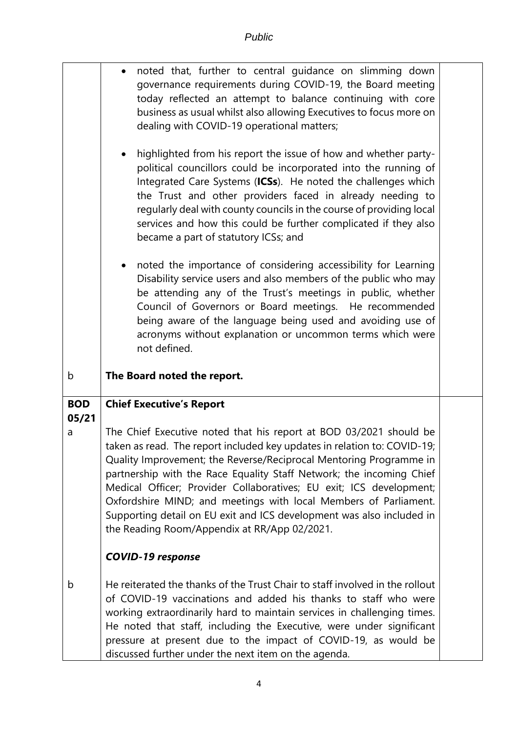|                     | noted that, further to central guidance on slimming down<br>governance requirements during COVID-19, the Board meeting<br>today reflected an attempt to balance continuing with core<br>business as usual whilst also allowing Executives to focus more on<br>dealing with COVID-19 operational matters;                                                                                                                                                                                                                                                         |  |
|---------------------|------------------------------------------------------------------------------------------------------------------------------------------------------------------------------------------------------------------------------------------------------------------------------------------------------------------------------------------------------------------------------------------------------------------------------------------------------------------------------------------------------------------------------------------------------------------|--|
|                     | highlighted from his report the issue of how and whether party-<br>$\bullet$<br>political councillors could be incorporated into the running of<br>Integrated Care Systems (ICSs). He noted the challenges which<br>the Trust and other providers faced in already needing to<br>regularly deal with county councils in the course of providing local<br>services and how this could be further complicated if they also<br>became a part of statutory ICSs; and                                                                                                 |  |
|                     | noted the importance of considering accessibility for Learning<br>Disability service users and also members of the public who may<br>be attending any of the Trust's meetings in public, whether<br>Council of Governors or Board meetings. He recommended<br>being aware of the language being used and avoiding use of<br>acronyms without explanation or uncommon terms which were<br>not defined.                                                                                                                                                            |  |
| b                   | The Board noted the report.                                                                                                                                                                                                                                                                                                                                                                                                                                                                                                                                      |  |
| <b>BOD</b><br>05/21 | <b>Chief Executive's Report</b>                                                                                                                                                                                                                                                                                                                                                                                                                                                                                                                                  |  |
| a                   | The Chief Executive noted that his report at BOD 03/2021 should be<br>taken as read. The report included key updates in relation to: COVID-19;<br>Quality Improvement; the Reverse/Reciprocal Mentoring Programme in<br>partnership with the Race Equality Staff Network; the incoming Chief<br>Medical Officer; Provider Collaboratives; EU exit; ICS development;<br>Oxfordshire MIND; and meetings with local Members of Parliament.<br>Supporting detail on EU exit and ICS development was also included in<br>the Reading Room/Appendix at RR/App 02/2021. |  |
|                     | <b>COVID-19 response</b>                                                                                                                                                                                                                                                                                                                                                                                                                                                                                                                                         |  |
| b                   | He reiterated the thanks of the Trust Chair to staff involved in the rollout<br>of COVID-19 vaccinations and added his thanks to staff who were<br>working extraordinarily hard to maintain services in challenging times.<br>He noted that staff, including the Executive, were under significant                                                                                                                                                                                                                                                               |  |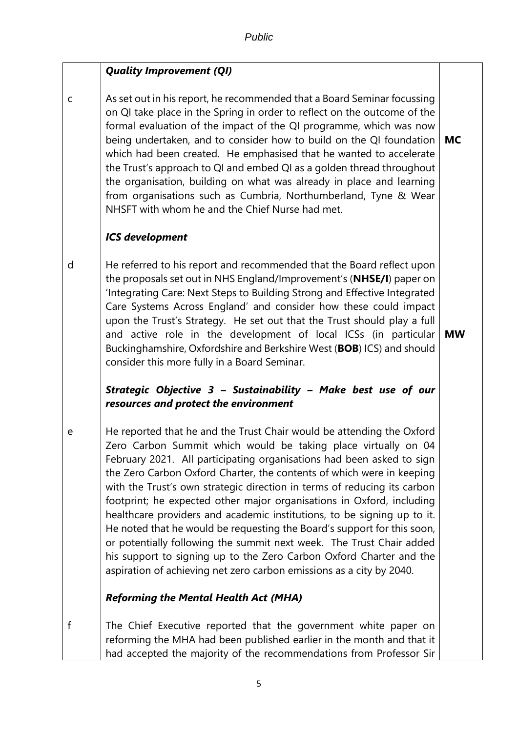## *Quality Improvement (QI)*

c As set out in his report, he recommended that a Board Seminar focussing on QI take place in the Spring in order to reflect on the outcome of the formal evaluation of the impact of the QI programme, which was now being undertaken, and to consider how to build on the QI foundation which had been created. He emphasised that he wanted to accelerate the Trust's approach to QI and embed QI as a golden thread throughout the organisation, building on what was already in place and learning from organisations such as Cumbria, Northumberland, Tyne & Wear NHSFT with whom he and the Chief Nurse had met. **MC**

### *ICS development*

d He referred to his report and recommended that the Board reflect upon the proposals set out in NHS England/Improvement's (**NHSE/I**) paper on 'Integrating Care: Next Steps to Building Strong and Effective Integrated Care Systems Across England' and consider how these could impact upon the Trust's Strategy. He set out that the Trust should play a full and active role in the development of local ICSs (in particular Buckinghamshire, Oxfordshire and Berkshire West (**BOB**) ICS) and should consider this more fully in a Board Seminar.

**MW**

### *Strategic Objective 3 – Sustainability – Make best use of our resources and protect the environment*

e He reported that he and the Trust Chair would be attending the Oxford Zero Carbon Summit which would be taking place virtually on 04 February 2021. All participating organisations had been asked to sign the Zero Carbon Oxford Charter, the contents of which were in keeping with the Trust's own strategic direction in terms of reducing its carbon footprint; he expected other major organisations in Oxford, including healthcare providers and academic institutions, to be signing up to it. He noted that he would be requesting the Board's support for this soon, or potentially following the summit next week. The Trust Chair added his support to signing up to the Zero Carbon Oxford Charter and the aspiration of achieving net zero carbon emissions as a city by 2040.

### *Reforming the Mental Health Act (MHA)*

f The Chief Executive reported that the government white paper on reforming the MHA had been published earlier in the month and that it had accepted the majority of the recommendations from Professor Sir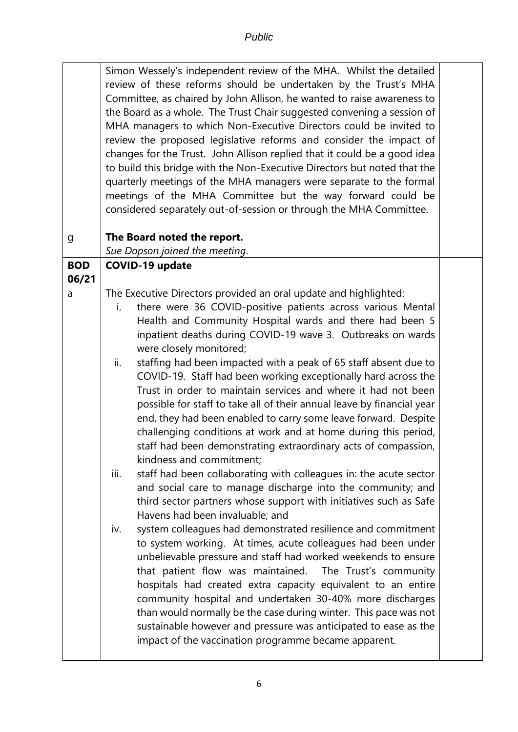|                     | Simon Wessely's independent review of the MHA. Whilst the detailed<br>review of these reforms should be undertaken by the Trust's MHA<br>Committee, as chaired by John Allison, he wanted to raise awareness to<br>the Board as a whole. The Trust Chair suggested convening a session of<br>MHA managers to which Non-Executive Directors could be invited to<br>review the proposed legislative reforms and consider the impact of<br>changes for the Trust. John Allison replied that it could be a good idea<br>to build this bridge with the Non-Executive Directors but noted that the<br>quarterly meetings of the MHA managers were separate to the formal |  |
|---------------------|--------------------------------------------------------------------------------------------------------------------------------------------------------------------------------------------------------------------------------------------------------------------------------------------------------------------------------------------------------------------------------------------------------------------------------------------------------------------------------------------------------------------------------------------------------------------------------------------------------------------------------------------------------------------|--|
|                     | meetings of the MHA Committee but the way forward could be<br>considered separately out-of-session or through the MHA Committee.                                                                                                                                                                                                                                                                                                                                                                                                                                                                                                                                   |  |
| g                   | The Board noted the report.                                                                                                                                                                                                                                                                                                                                                                                                                                                                                                                                                                                                                                        |  |
|                     | Sue Dopson joined the meeting.                                                                                                                                                                                                                                                                                                                                                                                                                                                                                                                                                                                                                                     |  |
| <b>BOD</b><br>06/21 | <b>COVID-19 update</b>                                                                                                                                                                                                                                                                                                                                                                                                                                                                                                                                                                                                                                             |  |
| a                   | The Executive Directors provided an oral update and highlighted:                                                                                                                                                                                                                                                                                                                                                                                                                                                                                                                                                                                                   |  |
|                     | there were 36 COVID-positive patients across various Mental<br>i.                                                                                                                                                                                                                                                                                                                                                                                                                                                                                                                                                                                                  |  |
|                     | Health and Community Hospital wards and there had been 5<br>inpatient deaths during COVID-19 wave 3. Outbreaks on wards                                                                                                                                                                                                                                                                                                                                                                                                                                                                                                                                            |  |
|                     | were closely monitored;                                                                                                                                                                                                                                                                                                                                                                                                                                                                                                                                                                                                                                            |  |
|                     | ii.<br>staffing had been impacted with a peak of 65 staff absent due to                                                                                                                                                                                                                                                                                                                                                                                                                                                                                                                                                                                            |  |
|                     | COVID-19. Staff had been working exceptionally hard across the                                                                                                                                                                                                                                                                                                                                                                                                                                                                                                                                                                                                     |  |
|                     | Trust in order to maintain services and where it had not been<br>possible for staff to take all of their annual leave by financial year                                                                                                                                                                                                                                                                                                                                                                                                                                                                                                                            |  |
|                     | end, they had been enabled to carry some leave forward. Despite                                                                                                                                                                                                                                                                                                                                                                                                                                                                                                                                                                                                    |  |
|                     | challenging conditions at work and at home during this period,                                                                                                                                                                                                                                                                                                                                                                                                                                                                                                                                                                                                     |  |
|                     | staff had been demonstrating extraordinary acts of compassion,                                                                                                                                                                                                                                                                                                                                                                                                                                                                                                                                                                                                     |  |
|                     | kindness and commitment;<br>staff had been collaborating with colleagues in: the acute sector<br>iii.                                                                                                                                                                                                                                                                                                                                                                                                                                                                                                                                                              |  |
|                     | and social care to manage discharge into the community; and                                                                                                                                                                                                                                                                                                                                                                                                                                                                                                                                                                                                        |  |
|                     | third sector partners whose support with initiatives such as Safe<br>Havens had been invaluable; and                                                                                                                                                                                                                                                                                                                                                                                                                                                                                                                                                               |  |
|                     | system colleagues had demonstrated resilience and commitment<br>iv.                                                                                                                                                                                                                                                                                                                                                                                                                                                                                                                                                                                                |  |
|                     | to system working. At times, acute colleagues had been under                                                                                                                                                                                                                                                                                                                                                                                                                                                                                                                                                                                                       |  |
|                     | unbelievable pressure and staff had worked weekends to ensure                                                                                                                                                                                                                                                                                                                                                                                                                                                                                                                                                                                                      |  |
|                     | that patient flow was maintained. The Trust's community<br>hospitals had created extra capacity equivalent to an entire                                                                                                                                                                                                                                                                                                                                                                                                                                                                                                                                            |  |
|                     | community hospital and undertaken 30-40% more discharges                                                                                                                                                                                                                                                                                                                                                                                                                                                                                                                                                                                                           |  |
|                     | than would normally be the case during winter. This pace was not                                                                                                                                                                                                                                                                                                                                                                                                                                                                                                                                                                                                   |  |
|                     | sustainable however and pressure was anticipated to ease as the                                                                                                                                                                                                                                                                                                                                                                                                                                                                                                                                                                                                    |  |
|                     | impact of the vaccination programme became apparent.                                                                                                                                                                                                                                                                                                                                                                                                                                                                                                                                                                                                               |  |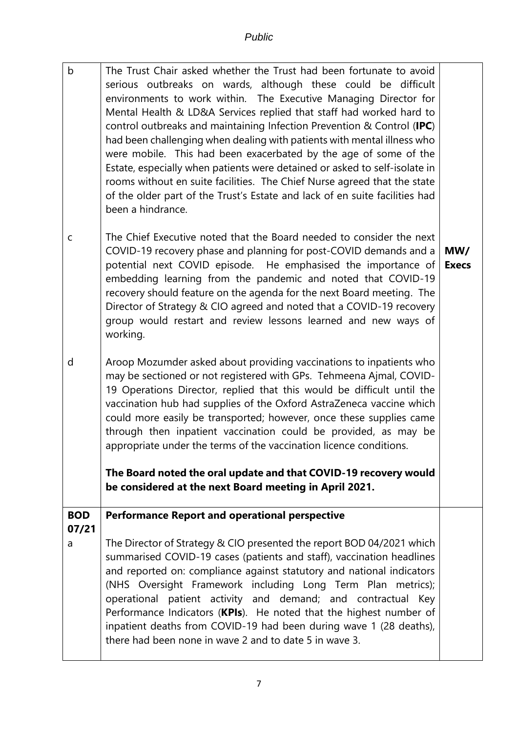| $\mathsf b$  | The Trust Chair asked whether the Trust had been fortunate to avoid<br>serious outbreaks on wards, although these could be difficult<br>environments to work within. The Executive Managing Director for<br>Mental Health & LD&A Services replied that staff had worked hard to<br>control outbreaks and maintaining Infection Prevention & Control (IPC)<br>had been challenging when dealing with patients with mental illness who<br>were mobile. This had been exacerbated by the age of some of the<br>Estate, especially when patients were detained or asked to self-isolate in<br>rooms without en suite facilities. The Chief Nurse agreed that the state<br>of the older part of the Trust's Estate and lack of en suite facilities had<br>been a hindrance. |                     |
|--------------|------------------------------------------------------------------------------------------------------------------------------------------------------------------------------------------------------------------------------------------------------------------------------------------------------------------------------------------------------------------------------------------------------------------------------------------------------------------------------------------------------------------------------------------------------------------------------------------------------------------------------------------------------------------------------------------------------------------------------------------------------------------------|---------------------|
| $\mathsf{C}$ | The Chief Executive noted that the Board needed to consider the next<br>COVID-19 recovery phase and planning for post-COVID demands and a<br>potential next COVID episode. He emphasised the importance of<br>embedding learning from the pandemic and noted that COVID-19<br>recovery should feature on the agenda for the next Board meeting. The<br>Director of Strategy & CIO agreed and noted that a COVID-19 recovery<br>group would restart and review lessons learned and new ways of<br>working.                                                                                                                                                                                                                                                              | MW/<br><b>Execs</b> |
| d            | Aroop Mozumder asked about providing vaccinations to inpatients who<br>may be sectioned or not registered with GPs. Tehmeena Ajmal, COVID-<br>19 Operations Director, replied that this would be difficult until the<br>vaccination hub had supplies of the Oxford AstraZeneca vaccine which<br>could more easily be transported; however, once these supplies came<br>through then inpatient vaccination could be provided, as may be<br>appropriate under the terms of the vaccination licence conditions.<br>The Board noted the oral update and that COVID-19 recovery would<br>be considered at the next Board meeting in April 2021.                                                                                                                             |                     |
| <b>BOD</b>   | <b>Performance Report and operational perspective</b>                                                                                                                                                                                                                                                                                                                                                                                                                                                                                                                                                                                                                                                                                                                  |                     |
| 07/21        |                                                                                                                                                                                                                                                                                                                                                                                                                                                                                                                                                                                                                                                                                                                                                                        |                     |
| a            | The Director of Strategy & CIO presented the report BOD 04/2021 which<br>summarised COVID-19 cases (patients and staff), vaccination headlines<br>and reported on: compliance against statutory and national indicators<br>(NHS Oversight Framework including Long Term Plan metrics);<br>operational patient activity and demand; and contractual Key<br>Performance Indicators (KPIs). He noted that the highest number of<br>inpatient deaths from COVID-19 had been during wave 1 (28 deaths),<br>there had been none in wave 2 and to date 5 in wave 3.                                                                                                                                                                                                           |                     |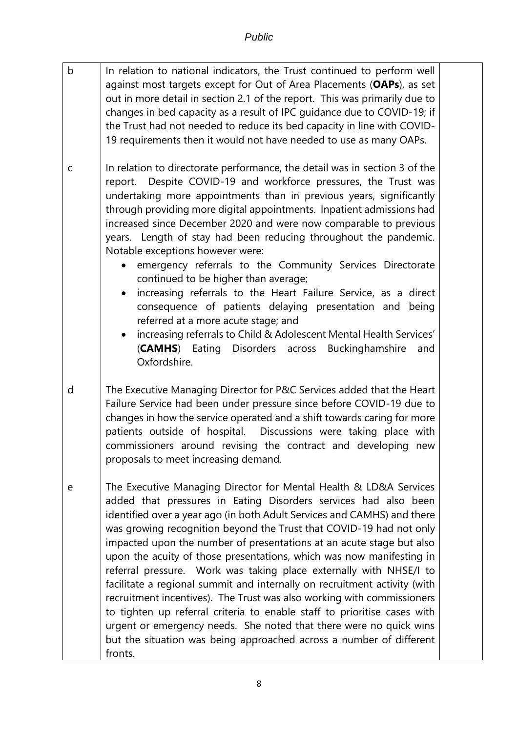| $\mathsf b$ | In relation to national indicators, the Trust continued to perform well<br>against most targets except for Out of Area Placements (OAPs), as set<br>out in more detail in section 2.1 of the report. This was primarily due to<br>changes in bed capacity as a result of IPC guidance due to COVID-19; if<br>the Trust had not needed to reduce its bed capacity in line with COVID-<br>19 requirements then it would not have needed to use as many OAPs.                                                                                                                                                                                                                                                                                                                                                                                                                                              |  |
|-------------|---------------------------------------------------------------------------------------------------------------------------------------------------------------------------------------------------------------------------------------------------------------------------------------------------------------------------------------------------------------------------------------------------------------------------------------------------------------------------------------------------------------------------------------------------------------------------------------------------------------------------------------------------------------------------------------------------------------------------------------------------------------------------------------------------------------------------------------------------------------------------------------------------------|--|
| $\mathsf C$ | In relation to directorate performance, the detail was in section 3 of the<br>report. Despite COVID-19 and workforce pressures, the Trust was<br>undertaking more appointments than in previous years, significantly<br>through providing more digital appointments. Inpatient admissions had<br>increased since December 2020 and were now comparable to previous<br>years. Length of stay had been reducing throughout the pandemic.<br>Notable exceptions however were:<br>emergency referrals to the Community Services Directorate<br>continued to be higher than average;<br>increasing referrals to the Heart Failure Service, as a direct<br>consequence of patients delaying presentation and<br>being<br>referred at a more acute stage; and<br>increasing referrals to Child & Adolescent Mental Health Services'<br>(CAMHS) Eating Disorders across Buckinghamshire<br>and<br>Oxfordshire.  |  |
| d           | The Executive Managing Director for P&C Services added that the Heart<br>Failure Service had been under pressure since before COVID-19 due to<br>changes in how the service operated and a shift towards caring for more<br>patients outside of hospital. Discussions were taking place with<br>commissioners around revising the contract and developing new<br>proposals to meet increasing demand.                                                                                                                                                                                                                                                                                                                                                                                                                                                                                                   |  |
| e           | The Executive Managing Director for Mental Health & LD&A Services<br>added that pressures in Eating Disorders services had also been<br>identified over a year ago (in both Adult Services and CAMHS) and there<br>was growing recognition beyond the Trust that COVID-19 had not only<br>impacted upon the number of presentations at an acute stage but also<br>upon the acuity of those presentations, which was now manifesting in<br>referral pressure. Work was taking place externally with NHSE/I to<br>facilitate a regional summit and internally on recruitment activity (with<br>recruitment incentives). The Trust was also working with commissioners<br>to tighten up referral criteria to enable staff to prioritise cases with<br>urgent or emergency needs. She noted that there were no quick wins<br>but the situation was being approached across a number of different<br>fronts. |  |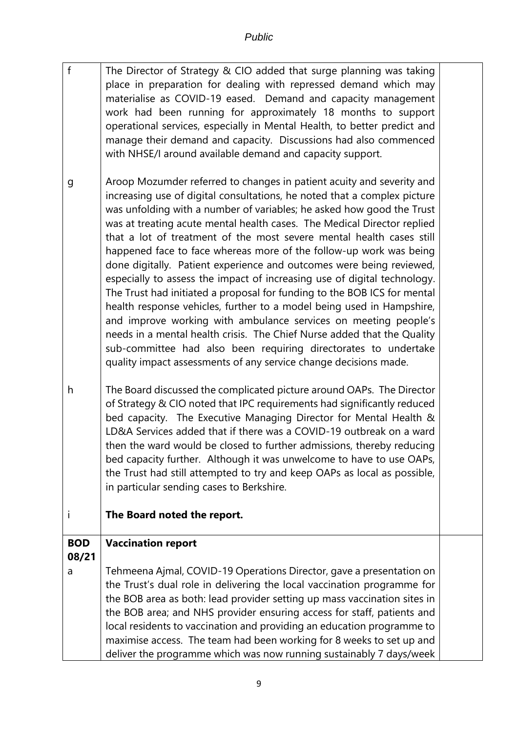- f The Director of Strategy & CIO added that surge planning was taking place in preparation for dealing with repressed demand which may materialise as COVID-19 eased. Demand and capacity management work had been running for approximately 18 months to support operational services, especially in Mental Health, to better predict and manage their demand and capacity. Discussions had also commenced with NHSE/I around available demand and capacity support.
- g Aroop Mozumder referred to changes in patient acuity and severity and increasing use of digital consultations, he noted that a complex picture was unfolding with a number of variables; he asked how good the Trust was at treating acute mental health cases. The Medical Director replied that a lot of treatment of the most severe mental health cases still happened face to face whereas more of the follow-up work was being done digitally. Patient experience and outcomes were being reviewed, especially to assess the impact of increasing use of digital technology. The Trust had initiated a proposal for funding to the BOB ICS for mental health response vehicles, further to a model being used in Hampshire, and improve working with ambulance services on meeting people's needs in a mental health crisis. The Chief Nurse added that the Quality sub-committee had also been requiring directorates to undertake quality impact assessments of any service change decisions made.
- h The Board discussed the complicated picture around OAPs. The Director of Strategy & CIO noted that IPC requirements had significantly reduced bed capacity. The Executive Managing Director for Mental Health & LD&A Services added that if there was a COVID-19 outbreak on a ward then the ward would be closed to further admissions, thereby reducing bed capacity further. Although it was unwelcome to have to use OAPs, the Trust had still attempted to try and keep OAPs as local as possible, in particular sending cases to Berkshire.
- i **The Board noted the report.**

#### **BOD Vaccination report**

**08/21**

a Tehmeena Ajmal, COVID-19 Operations Director, gave a presentation on the Trust's dual role in delivering the local vaccination programme for the BOB area as both: lead provider setting up mass vaccination sites in the BOB area; and NHS provider ensuring access for staff, patients and local residents to vaccination and providing an education programme to maximise access. The team had been working for 8 weeks to set up and deliver the programme which was now running sustainably 7 days/week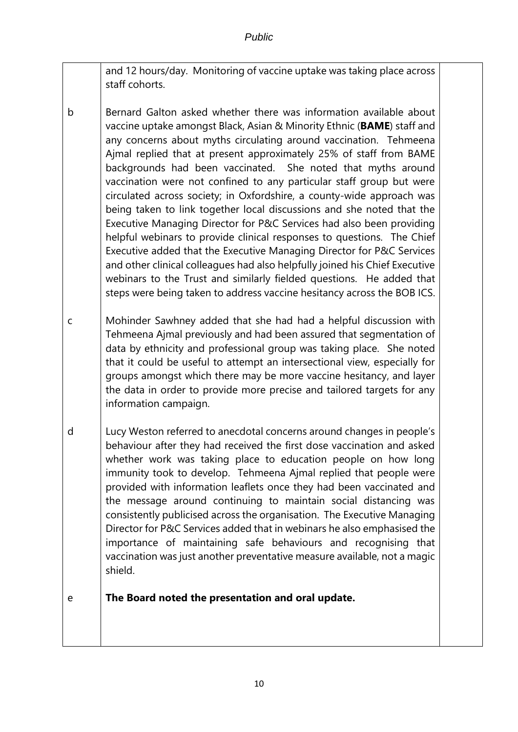- and 12 hours/day. Monitoring of vaccine uptake was taking place across staff cohorts.
- b Bernard Galton asked whether there was information available about vaccine uptake amongst Black, Asian & Minority Ethnic (**BAME**) staff and any concerns about myths circulating around vaccination. Tehmeena Ajmal replied that at present approximately 25% of staff from BAME backgrounds had been vaccinated. She noted that myths around vaccination were not confined to any particular staff group but were circulated across society; in Oxfordshire, a county-wide approach was being taken to link together local discussions and she noted that the Executive Managing Director for P&C Services had also been providing helpful webinars to provide clinical responses to questions. The Chief Executive added that the Executive Managing Director for P&C Services and other clinical colleagues had also helpfully joined his Chief Executive webinars to the Trust and similarly fielded questions. He added that steps were being taken to address vaccine hesitancy across the BOB ICS.
- c Mohinder Sawhney added that she had had a helpful discussion with Tehmeena Ajmal previously and had been assured that segmentation of data by ethnicity and professional group was taking place. She noted that it could be useful to attempt an intersectional view, especially for groups amongst which there may be more vaccine hesitancy, and layer the data in order to provide more precise and tailored targets for any information campaign.
- d Lucy Weston referred to anecdotal concerns around changes in people's behaviour after they had received the first dose vaccination and asked whether work was taking place to education people on how long immunity took to develop. Tehmeena Ajmal replied that people were provided with information leaflets once they had been vaccinated and the message around continuing to maintain social distancing was consistently publicised across the organisation. The Executive Managing Director for P&C Services added that in webinars he also emphasised the importance of maintaining safe behaviours and recognising that vaccination was just another preventative measure available, not a magic shield.

#### e **The Board noted the presentation and oral update.**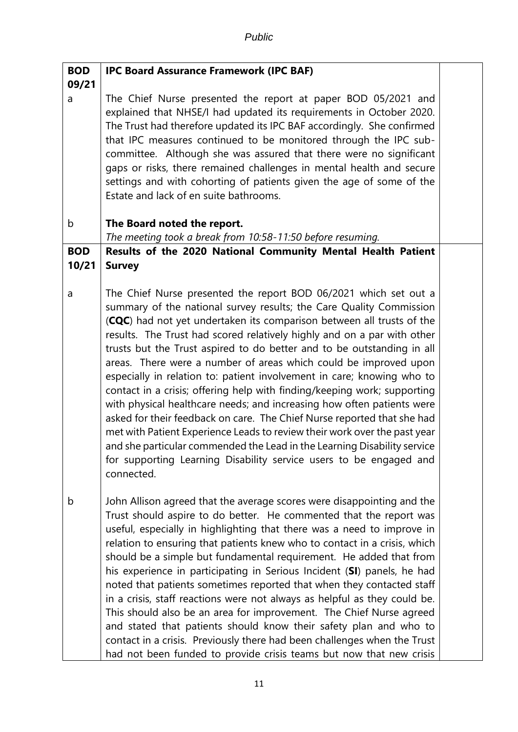| <b>BOD</b> | <b>IPC Board Assurance Framework (IPC BAF)</b>                                                                                                                                                                                                                                                                                                                                                                                                                                                                                                                                                                                                                                                                                                                                                                                                                                                                                                                                                    |  |
|------------|---------------------------------------------------------------------------------------------------------------------------------------------------------------------------------------------------------------------------------------------------------------------------------------------------------------------------------------------------------------------------------------------------------------------------------------------------------------------------------------------------------------------------------------------------------------------------------------------------------------------------------------------------------------------------------------------------------------------------------------------------------------------------------------------------------------------------------------------------------------------------------------------------------------------------------------------------------------------------------------------------|--|
| 09/21      |                                                                                                                                                                                                                                                                                                                                                                                                                                                                                                                                                                                                                                                                                                                                                                                                                                                                                                                                                                                                   |  |
| a          | The Chief Nurse presented the report at paper BOD 05/2021 and<br>explained that NHSE/I had updated its requirements in October 2020.<br>The Trust had therefore updated its IPC BAF accordingly. She confirmed<br>that IPC measures continued to be monitored through the IPC sub-<br>committee. Although she was assured that there were no significant<br>gaps or risks, there remained challenges in mental health and secure<br>settings and with cohorting of patients given the age of some of the<br>Estate and lack of en suite bathrooms.                                                                                                                                                                                                                                                                                                                                                                                                                                                |  |
| b          | The Board noted the report.                                                                                                                                                                                                                                                                                                                                                                                                                                                                                                                                                                                                                                                                                                                                                                                                                                                                                                                                                                       |  |
|            | The meeting took a break from 10:58-11:50 before resuming.                                                                                                                                                                                                                                                                                                                                                                                                                                                                                                                                                                                                                                                                                                                                                                                                                                                                                                                                        |  |
| <b>BOD</b> | Results of the 2020 National Community Mental Health Patient                                                                                                                                                                                                                                                                                                                                                                                                                                                                                                                                                                                                                                                                                                                                                                                                                                                                                                                                      |  |
| 10/21      | <b>Survey</b>                                                                                                                                                                                                                                                                                                                                                                                                                                                                                                                                                                                                                                                                                                                                                                                                                                                                                                                                                                                     |  |
|            |                                                                                                                                                                                                                                                                                                                                                                                                                                                                                                                                                                                                                                                                                                                                                                                                                                                                                                                                                                                                   |  |
| a          | The Chief Nurse presented the report BOD 06/2021 which set out a<br>summary of the national survey results; the Care Quality Commission<br>(CQC) had not yet undertaken its comparison between all trusts of the<br>results. The Trust had scored relatively highly and on a par with other<br>trusts but the Trust aspired to do better and to be outstanding in all<br>areas. There were a number of areas which could be improved upon<br>especially in relation to: patient involvement in care; knowing who to<br>contact in a crisis; offering help with finding/keeping work; supporting<br>with physical healthcare needs; and increasing how often patients were<br>asked for their feedback on care. The Chief Nurse reported that she had<br>met with Patient Experience Leads to review their work over the past year<br>and she particular commended the Lead in the Learning Disability service<br>for supporting Learning Disability service users to be engaged and<br>connected. |  |
| b          | John Allison agreed that the average scores were disappointing and the<br>Trust should aspire to do better. He commented that the report was<br>useful, especially in highlighting that there was a need to improve in<br>relation to ensuring that patients knew who to contact in a crisis, which<br>should be a simple but fundamental requirement. He added that from<br>his experience in participating in Serious Incident (SI) panels, he had<br>noted that patients sometimes reported that when they contacted staff<br>in a crisis, staff reactions were not always as helpful as they could be.<br>This should also be an area for improvement. The Chief Nurse agreed<br>and stated that patients should know their safety plan and who to<br>contact in a crisis. Previously there had been challenges when the Trust<br>had not been funded to provide crisis teams but now that new crisis                                                                                         |  |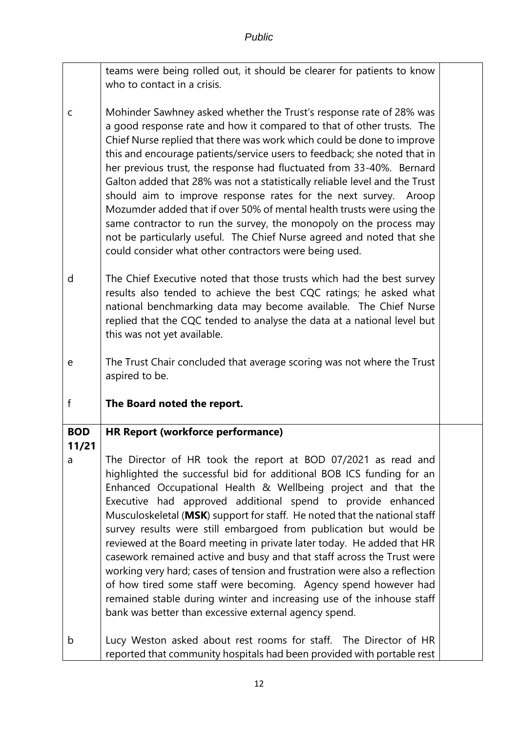|             | teams were being rolled out, it should be clearer for patients to know                                                                                                                                                                                                                                                                                                                                                                                                                                                                                                                                                                                                                                                                                                                                                                                         |  |
|-------------|----------------------------------------------------------------------------------------------------------------------------------------------------------------------------------------------------------------------------------------------------------------------------------------------------------------------------------------------------------------------------------------------------------------------------------------------------------------------------------------------------------------------------------------------------------------------------------------------------------------------------------------------------------------------------------------------------------------------------------------------------------------------------------------------------------------------------------------------------------------|--|
|             | who to contact in a crisis.                                                                                                                                                                                                                                                                                                                                                                                                                                                                                                                                                                                                                                                                                                                                                                                                                                    |  |
| $\mathsf C$ | Mohinder Sawhney asked whether the Trust's response rate of 28% was<br>a good response rate and how it compared to that of other trusts. The<br>Chief Nurse replied that there was work which could be done to improve<br>this and encourage patients/service users to feedback; she noted that in<br>her previous trust, the response had fluctuated from 33-40%. Bernard<br>Galton added that 28% was not a statistically reliable level and the Trust<br>should aim to improve response rates for the next survey. Aroop<br>Mozumder added that if over 50% of mental health trusts were using the<br>same contractor to run the survey, the monopoly on the process may<br>not be particularly useful. The Chief Nurse agreed and noted that she                                                                                                           |  |
|             |                                                                                                                                                                                                                                                                                                                                                                                                                                                                                                                                                                                                                                                                                                                                                                                                                                                                |  |
|             | could consider what other contractors were being used.                                                                                                                                                                                                                                                                                                                                                                                                                                                                                                                                                                                                                                                                                                                                                                                                         |  |
| d           | The Chief Executive noted that those trusts which had the best survey<br>results also tended to achieve the best CQC ratings; he asked what<br>national benchmarking data may become available. The Chief Nurse<br>replied that the CQC tended to analyse the data at a national level but<br>this was not yet available.                                                                                                                                                                                                                                                                                                                                                                                                                                                                                                                                      |  |
| e           | The Trust Chair concluded that average scoring was not where the Trust<br>aspired to be.                                                                                                                                                                                                                                                                                                                                                                                                                                                                                                                                                                                                                                                                                                                                                                       |  |
|             |                                                                                                                                                                                                                                                                                                                                                                                                                                                                                                                                                                                                                                                                                                                                                                                                                                                                |  |
| f           | The Board noted the report.                                                                                                                                                                                                                                                                                                                                                                                                                                                                                                                                                                                                                                                                                                                                                                                                                                    |  |
| <b>BOD</b>  | HR Report (workforce performance)                                                                                                                                                                                                                                                                                                                                                                                                                                                                                                                                                                                                                                                                                                                                                                                                                              |  |
| 11/21       |                                                                                                                                                                                                                                                                                                                                                                                                                                                                                                                                                                                                                                                                                                                                                                                                                                                                |  |
| a           | The Director of HR took the report at BOD 07/2021 as read and<br>highlighted the successful bid for additional BOB ICS funding for an<br>Enhanced Occupational Health & Wellbeing project and that the<br>Executive had approved additional spend to provide enhanced<br>Musculoskeletal (MSK) support for staff. He noted that the national staff<br>survey results were still embargoed from publication but would be<br>reviewed at the Board meeting in private later today. He added that HR<br>casework remained active and busy and that staff across the Trust were<br>working very hard; cases of tension and frustration were also a reflection<br>of how tired some staff were becoming. Agency spend however had<br>remained stable during winter and increasing use of the inhouse staff<br>bank was better than excessive external agency spend. |  |
| b           | Lucy Weston asked about rest rooms for staff. The Director of HR<br>reported that community hospitals had been provided with portable rest                                                                                                                                                                                                                                                                                                                                                                                                                                                                                                                                                                                                                                                                                                                     |  |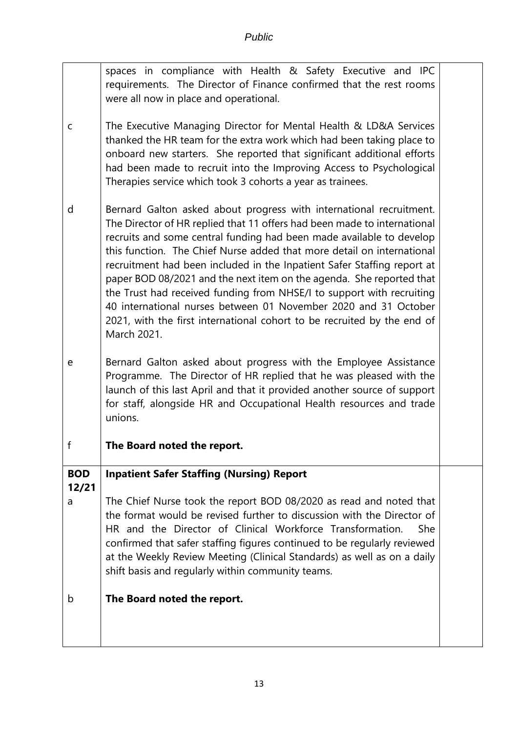|                     | spaces in compliance with Health & Safety Executive and IPC<br>requirements. The Director of Finance confirmed that the rest rooms<br>were all now in place and operational.                                                                                                                                                                                                                                                                                                                                                                                                                                                                                                               |  |
|---------------------|--------------------------------------------------------------------------------------------------------------------------------------------------------------------------------------------------------------------------------------------------------------------------------------------------------------------------------------------------------------------------------------------------------------------------------------------------------------------------------------------------------------------------------------------------------------------------------------------------------------------------------------------------------------------------------------------|--|
| C                   | The Executive Managing Director for Mental Health & LD&A Services<br>thanked the HR team for the extra work which had been taking place to<br>onboard new starters. She reported that significant additional efforts<br>had been made to recruit into the Improving Access to Psychological<br>Therapies service which took 3 cohorts a year as trainees.                                                                                                                                                                                                                                                                                                                                  |  |
| d                   | Bernard Galton asked about progress with international recruitment.<br>The Director of HR replied that 11 offers had been made to international<br>recruits and some central funding had been made available to develop<br>this function. The Chief Nurse added that more detail on international<br>recruitment had been included in the Inpatient Safer Staffing report at<br>paper BOD 08/2021 and the next item on the agenda. She reported that<br>the Trust had received funding from NHSE/I to support with recruiting<br>40 international nurses between 01 November 2020 and 31 October<br>2021, with the first international cohort to be recruited by the end of<br>March 2021. |  |
| e                   | Bernard Galton asked about progress with the Employee Assistance<br>Programme. The Director of HR replied that he was pleased with the<br>launch of this last April and that it provided another source of support<br>for staff, alongside HR and Occupational Health resources and trade<br>unions.                                                                                                                                                                                                                                                                                                                                                                                       |  |
| f                   | The Board noted the report.                                                                                                                                                                                                                                                                                                                                                                                                                                                                                                                                                                                                                                                                |  |
| <b>BOD</b><br>12/21 | <b>Inpatient Safer Staffing (Nursing) Report</b>                                                                                                                                                                                                                                                                                                                                                                                                                                                                                                                                                                                                                                           |  |
| a                   | The Chief Nurse took the report BOD 08/2020 as read and noted that<br>the format would be revised further to discussion with the Director of<br>HR and the Director of Clinical Workforce Transformation.<br>She<br>confirmed that safer staffing figures continued to be regularly reviewed<br>at the Weekly Review Meeting (Clinical Standards) as well as on a daily<br>shift basis and regularly within community teams.                                                                                                                                                                                                                                                               |  |
| b                   | The Board noted the report.                                                                                                                                                                                                                                                                                                                                                                                                                                                                                                                                                                                                                                                                |  |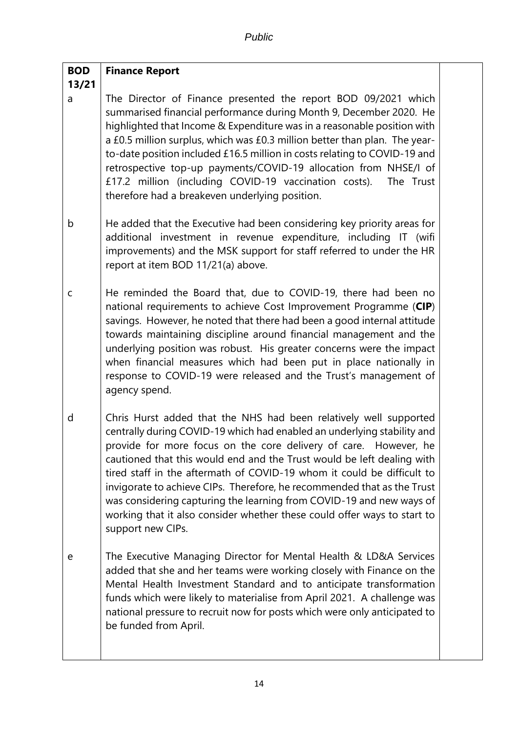#### **BOD 13/21 Finance Report**

a The Director of Finance presented the report BOD 09/2021 which summarised financial performance during Month 9, December 2020. He highlighted that Income & Expenditure was in a reasonable position with a £0.5 million surplus, which was £0.3 million better than plan. The yearto-date position included £16.5 million in costs relating to COVID-19 and retrospective top-up payments/COVID-19 allocation from NHSE/I of £17.2 million (including COVID-19 vaccination costs). The Trust therefore had a breakeven underlying position.

- b He added that the Executive had been considering key priority areas for additional investment in revenue expenditure, including IT (wifi improvements) and the MSK support for staff referred to under the HR report at item BOD 11/21(a) above.
- c He reminded the Board that, due to COVID-19, there had been no national requirements to achieve Cost Improvement Programme (**CIP**) savings. However, he noted that there had been a good internal attitude towards maintaining discipline around financial management and the underlying position was robust. His greater concerns were the impact when financial measures which had been put in place nationally in response to COVID-19 were released and the Trust's management of agency spend.
- d Chris Hurst added that the NHS had been relatively well supported centrally during COVID-19 which had enabled an underlying stability and provide for more focus on the core delivery of care. However, he cautioned that this would end and the Trust would be left dealing with tired staff in the aftermath of COVID-19 whom it could be difficult to invigorate to achieve CIPs. Therefore, he recommended that as the Trust was considering capturing the learning from COVID-19 and new ways of working that it also consider whether these could offer ways to start to support new CIPs.
- e The Executive Managing Director for Mental Health & LD&A Services added that she and her teams were working closely with Finance on the Mental Health Investment Standard and to anticipate transformation funds which were likely to materialise from April 2021. A challenge was national pressure to recruit now for posts which were only anticipated to be funded from April.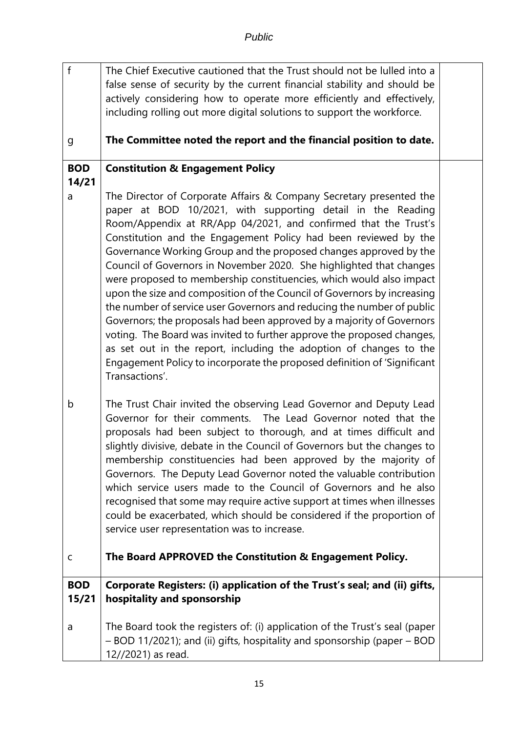| $\mathsf{f}$        | The Chief Executive cautioned that the Trust should not be lulled into a<br>false sense of security by the current financial stability and should be<br>actively considering how to operate more efficiently and effectively,<br>including rolling out more digital solutions to support the workforce.                                                                                                                                                                                                                                                                                                                                                                                                                                                                                                                                                                                                                                                                 |  |
|---------------------|-------------------------------------------------------------------------------------------------------------------------------------------------------------------------------------------------------------------------------------------------------------------------------------------------------------------------------------------------------------------------------------------------------------------------------------------------------------------------------------------------------------------------------------------------------------------------------------------------------------------------------------------------------------------------------------------------------------------------------------------------------------------------------------------------------------------------------------------------------------------------------------------------------------------------------------------------------------------------|--|
| g                   | The Committee noted the report and the financial position to date.                                                                                                                                                                                                                                                                                                                                                                                                                                                                                                                                                                                                                                                                                                                                                                                                                                                                                                      |  |
| <b>BOD</b><br>14/21 | <b>Constitution &amp; Engagement Policy</b>                                                                                                                                                                                                                                                                                                                                                                                                                                                                                                                                                                                                                                                                                                                                                                                                                                                                                                                             |  |
| a                   | The Director of Corporate Affairs & Company Secretary presented the<br>paper at BOD 10/2021, with supporting detail in the Reading<br>Room/Appendix at RR/App 04/2021, and confirmed that the Trust's<br>Constitution and the Engagement Policy had been reviewed by the<br>Governance Working Group and the proposed changes approved by the<br>Council of Governors in November 2020. She highlighted that changes<br>were proposed to membership constituencies, which would also impact<br>upon the size and composition of the Council of Governors by increasing<br>the number of service user Governors and reducing the number of public<br>Governors; the proposals had been approved by a majority of Governors<br>voting. The Board was invited to further approve the proposed changes,<br>as set out in the report, including the adoption of changes to the<br>Engagement Policy to incorporate the proposed definition of 'Significant<br>Transactions'. |  |
| b                   | The Trust Chair invited the observing Lead Governor and Deputy Lead<br>Governor for their comments. The Lead Governor noted that the<br>proposals had been subject to thorough, and at times difficult and<br>slightly divisive, debate in the Council of Governors but the changes to<br>membership constituencies had been approved by the majority of<br>Governors. The Deputy Lead Governor noted the valuable contribution<br>which service users made to the Council of Governors and he also<br>recognised that some may require active support at times when illnesses<br>could be exacerbated, which should be considered if the proportion of<br>service user representation was to increase.                                                                                                                                                                                                                                                                 |  |
| $\mathsf C$         | The Board APPROVED the Constitution & Engagement Policy.                                                                                                                                                                                                                                                                                                                                                                                                                                                                                                                                                                                                                                                                                                                                                                                                                                                                                                                |  |
| <b>BOD</b>          | Corporate Registers: (i) application of the Trust's seal; and (ii) gifts,                                                                                                                                                                                                                                                                                                                                                                                                                                                                                                                                                                                                                                                                                                                                                                                                                                                                                               |  |
| 15/21               | hospitality and sponsorship                                                                                                                                                                                                                                                                                                                                                                                                                                                                                                                                                                                                                                                                                                                                                                                                                                                                                                                                             |  |
| a                   | The Board took the registers of: (i) application of the Trust's seal (paper<br>- BOD 11/2021); and (ii) gifts, hospitality and sponsorship (paper - BOD<br>12//2021) as read.                                                                                                                                                                                                                                                                                                                                                                                                                                                                                                                                                                                                                                                                                                                                                                                           |  |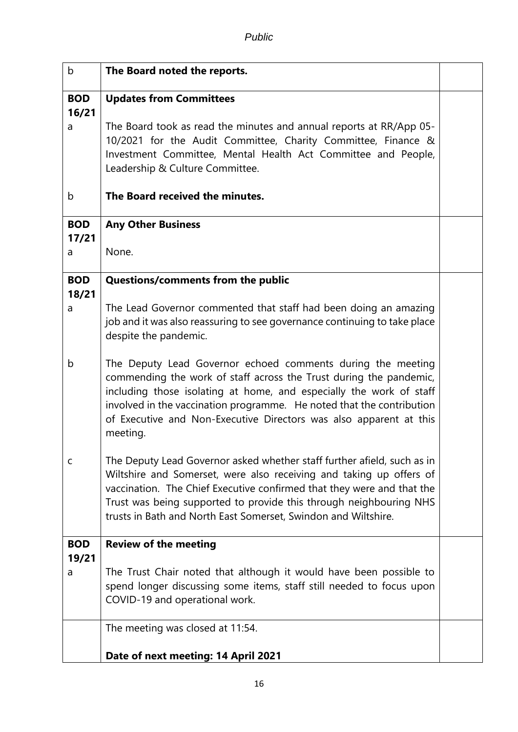| b                   | The Board noted the reports.                                                                                                                                                                                                                                                                                                                                        |  |
|---------------------|---------------------------------------------------------------------------------------------------------------------------------------------------------------------------------------------------------------------------------------------------------------------------------------------------------------------------------------------------------------------|--|
| <b>BOD</b><br>16/21 | <b>Updates from Committees</b>                                                                                                                                                                                                                                                                                                                                      |  |
| a                   | The Board took as read the minutes and annual reports at RR/App 05-<br>10/2021 for the Audit Committee, Charity Committee, Finance &<br>Investment Committee, Mental Health Act Committee and People,<br>Leadership & Culture Committee.                                                                                                                            |  |
| b                   | The Board received the minutes.                                                                                                                                                                                                                                                                                                                                     |  |
| <b>BOD</b><br>17/21 | <b>Any Other Business</b>                                                                                                                                                                                                                                                                                                                                           |  |
| a                   | None.                                                                                                                                                                                                                                                                                                                                                               |  |
| <b>BOD</b><br>18/21 | <b>Questions/comments from the public</b>                                                                                                                                                                                                                                                                                                                           |  |
| a                   | The Lead Governor commented that staff had been doing an amazing<br>job and it was also reassuring to see governance continuing to take place<br>despite the pandemic.                                                                                                                                                                                              |  |
| b                   | The Deputy Lead Governor echoed comments during the meeting<br>commending the work of staff across the Trust during the pandemic,<br>including those isolating at home, and especially the work of staff<br>involved in the vaccination programme. He noted that the contribution<br>of Executive and Non-Executive Directors was also apparent at this<br>meeting. |  |
| C                   | The Deputy Lead Governor asked whether staff further afield, such as in<br>Wiltshire and Somerset, were also receiving and taking up offers of<br>vaccination. The Chief Executive confirmed that they were and that the<br>Trust was being supported to provide this through neighbouring NHS<br>trusts in Bath and North East Somerset, Swindon and Wiltshire.    |  |
| <b>BOD</b><br>19/21 | <b>Review of the meeting</b>                                                                                                                                                                                                                                                                                                                                        |  |
| a                   | The Trust Chair noted that although it would have been possible to<br>spend longer discussing some items, staff still needed to focus upon<br>COVID-19 and operational work.                                                                                                                                                                                        |  |
|                     | The meeting was closed at 11:54.                                                                                                                                                                                                                                                                                                                                    |  |
|                     | Date of next meeting: 14 April 2021                                                                                                                                                                                                                                                                                                                                 |  |